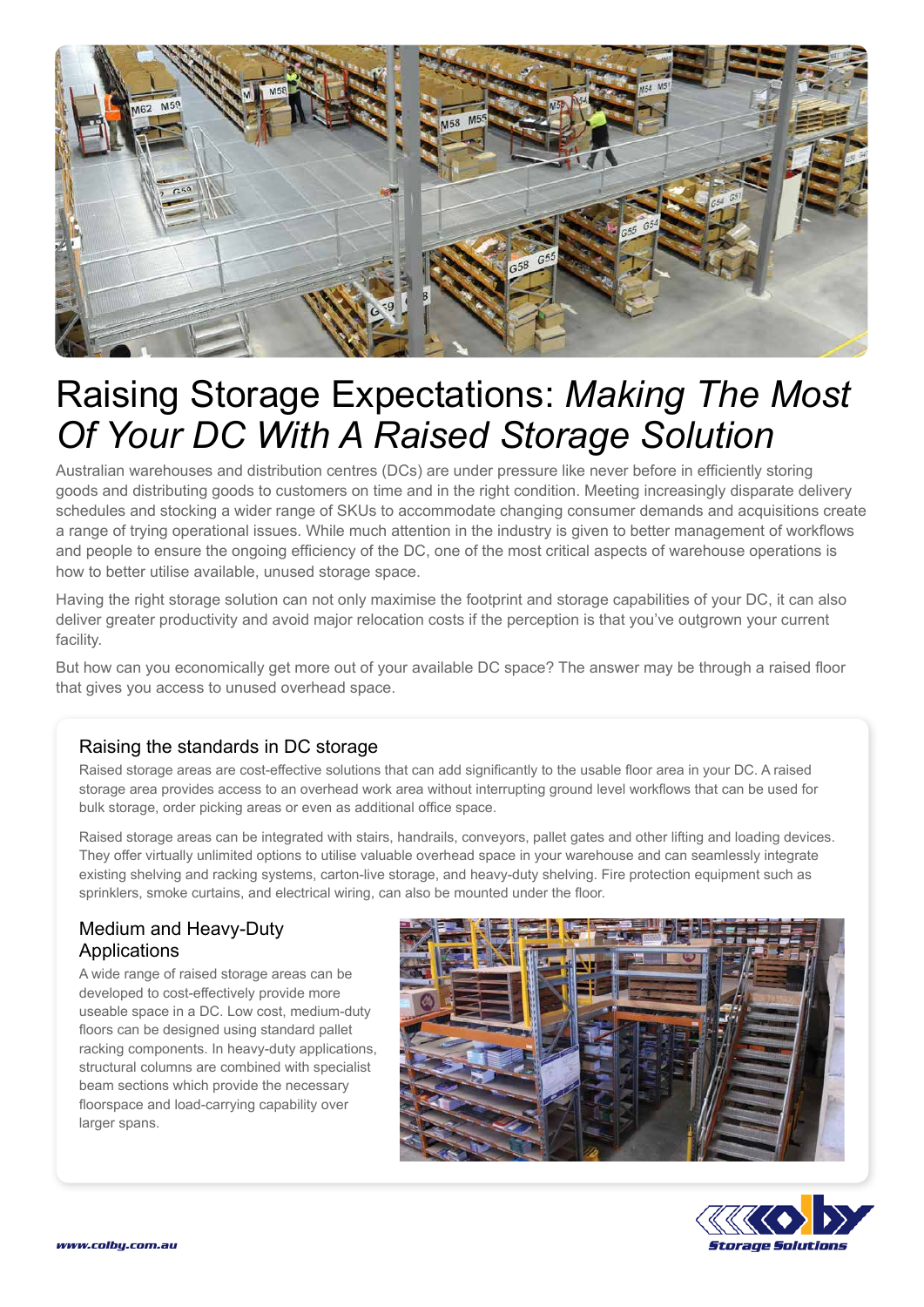

## Raising Storage Expectations: *Making The Most Of Your DC With A Raised Storage Solution*

Australian warehouses and distribution centres (DCs) are under pressure like never before in efficiently storing goods and distributing goods to customers on time and in the right condition. Meeting increasingly disparate delivery schedules and stocking a wider range of SKUs to accommodate changing consumer demands and acquisitions create a range of trying operational issues. While much attention in the industry is given to better management of workflows and people to ensure the ongoing efficiency of the DC, one of the most critical aspects of warehouse operations is how to better utilise available, unused storage space.

Having the right storage solution can not only maximise the footprint and storage capabilities of your DC, it can also deliver greater productivity and avoid major relocation costs if the perception is that you've outgrown your current facility.

But how can you economically get more out of your available DC space? The answer may be through a raised floor that gives you access to unused overhead space.

## Raising the standards in DC storage

Raised storage areas are cost-effective solutions that can add significantly to the usable floor area in your DC. A raised storage area provides access to an overhead work area without interrupting ground level workflows that can be used for bulk storage, order picking areas or even as additional office space.

Raised storage areas can be integrated with stairs, handrails, conveyors, pallet gates and other lifting and loading devices. They offer virtually unlimited options to utilise valuable overhead space in your warehouse and can seamlessly integrate existing shelving and racking systems, carton-live storage, and heavy-duty shelving. Fire protection equipment such as sprinklers, smoke curtains, and electrical wiring, can also be mounted under the floor.

## Medium and Heavy-Duty Applications

A wide range of raised storage areas can be developed to cost-effectively provide more useable space in a DC. Low cost, medium-duty floors can be designed using standard pallet racking components. In heavy-duty applications, structural columns are combined with specialist beam sections which provide the necessary floorspace and load-carrying capability over larger spans.